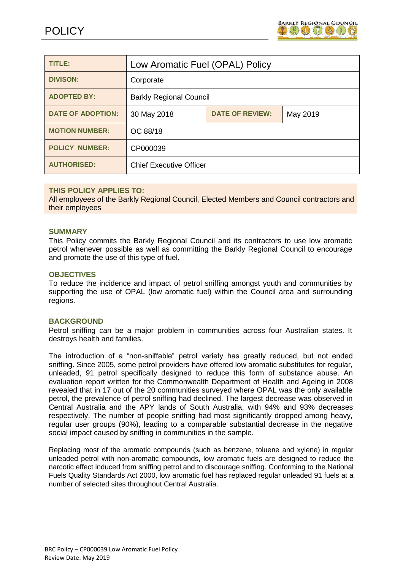

| <b>TITLE:</b>            | Low Aromatic Fuel (OPAL) Policy                   |  |  |  |  |
|--------------------------|---------------------------------------------------|--|--|--|--|
| <b>DIVISON:</b>          | Corporate                                         |  |  |  |  |
| <b>ADOPTED BY:</b>       | <b>Barkly Regional Council</b>                    |  |  |  |  |
| <b>DATE OF ADOPTION:</b> | <b>DATE OF REVIEW:</b><br>30 May 2018<br>May 2019 |  |  |  |  |
| <b>MOTION NUMBER:</b>    | OC 88/18                                          |  |  |  |  |
| <b>POLICY NUMBER:</b>    | CP000039                                          |  |  |  |  |
| <b>AUTHORISED:</b>       | <b>Chief Executive Officer</b>                    |  |  |  |  |

## **THIS POLICY APPLIES TO:**

All employees of the Barkly Regional Council, Elected Members and Council contractors and their employees

### **SUMMARY**

This Policy commits the Barkly Regional Council and its contractors to use low aromatic petrol whenever possible as well as committing the Barkly Regional Council to encourage and promote the use of this type of fuel.

## **OBJECTIVES**

To reduce the incidence and impact of petrol sniffing amongst youth and communities by supporting the use of OPAL (low aromatic fuel) within the Council area and surrounding regions.

## **BACKGROUND**

Petrol sniffing can be a major problem in communities across four Australian states. It destroys health and families.

The introduction of a "non-sniffable" petrol variety has greatly reduced, but not ended sniffing. Since 2005, some petrol providers have offered low aromatic substitutes for regular, unleaded, 91 petrol specifically designed to reduce this form of substance abuse. An evaluation report written for the Commonwealth Department of Health and Ageing in 2008 revealed that in 17 out of the 20 communities surveyed where OPAL was the only available petrol, the prevalence of petrol sniffing had declined. The largest decrease was observed in Central Australia and the APY lands of South Australia, with 94% and 93% decreases respectively. The number of people sniffing had most significantly dropped among heavy, regular user groups (90%), leading to a comparable substantial decrease in the negative social impact caused by sniffing in communities in the sample.

Replacing most of the aromatic compounds (such as benzene, toluene and xylene) in regular unleaded petrol with non-aromatic compounds, low aromatic fuels are designed to reduce the narcotic effect induced from sniffing petrol and to discourage sniffing. Conforming to the National Fuels Quality Standards Act 2000, low aromatic fuel has replaced regular unleaded 91 fuels at a number of selected sites throughout Central Australia.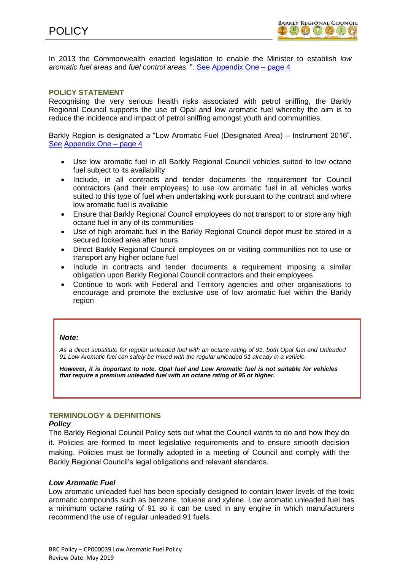

In 2013 the Commonwealth enacted legislation to enable the Minister to establish *low aromatic fuel areas* and *fuel control areas*. ". [See Appendix One](#page-3-0) – page 4

## **POLICY STATEMENT**

Recognising the very serious health risks associated with petrol sniffing, the Barkly Regional Council supports the use of Opal and low aromatic fuel whereby the aim is to reduce the incidence and impact of petrol sniffing amongst youth and communities.

Barkly Region is designated a "Low Aromatic Fuel (Designated Area) – Instrument 2016". [See](#page-3-0) [Appendix One –](#page-3-0) page 4

- Use low aromatic fuel in all Barkly Regional Council vehicles suited to low octane fuel subject to its availability
- Include, in all contracts and tender documents the requirement for Council contractors (and their employees) to use low aromatic fuel in all vehicles works suited to this type of fuel when undertaking work pursuant to the contract and where low aromatic fuel is available
- Ensure that Barkly Regional Council employees do not transport to or store any high octane fuel in any of its communities
- Use of high aromatic fuel in the Barkly Regional Council depot must be stored in a secured locked area after hours
- Direct Barkly Regional Council employees on or visiting communities not to use or transport any higher octane fuel
- Include in contracts and tender documents a requirement imposing a similar obligation upon Barkly Regional Council contractors and their employees
- Continue to work with Federal and Territory agencies and other organisations to encourage and promote the exclusive use of low aromatic fuel within the Barkly region

#### *Note:*

*As a direct substitute for regular unleaded fuel with an octane rating of 91, both Opal fuel and Unleaded 91 Low Aromatic fuel can safely be mixed with the regular unleaded 91 already in a vehicle.*

*However, it is important to note, Opal fuel and Low Aromatic fuel is not suitable for vehicles that require a premium unleaded fuel with an octane rating of 95 or higher.*

## **TERMINOLOGY & DEFINITIONS**

#### *Policy*

The Barkly Regional Council Policy sets out what the Council wants to do and how they do it. Policies are formed to meet legislative requirements and to ensure smooth decision making. Policies must be formally adopted in a meeting of Council and comply with the Barkly Regional Council's legal obligations and relevant standards.

#### *Low Aromatic Fuel*

Low aromatic unleaded fuel has been specially designed to contain lower levels of the toxic aromatic compounds such as benzene, toluene and xylene. Low aromatic unleaded fuel has a minimum octane rating of 91 so it can be used in any engine in which manufacturers recommend the use of regular unleaded 91 fuels.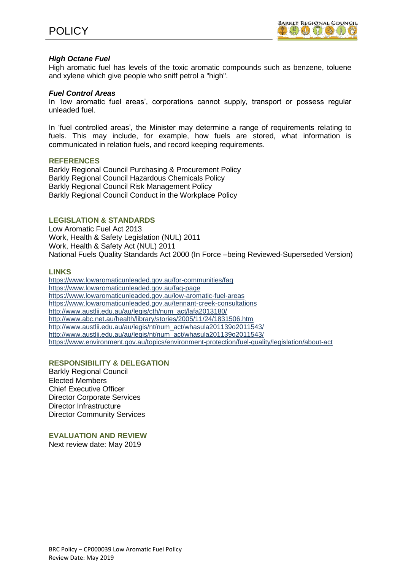

## *High Octane Fuel*

High aromatic fuel has levels of the toxic aromatic compounds such as benzene, toluene and xylene which give people who sniff petrol a "high".

## *Fuel Control Areas*

In 'low aromatic fuel areas', corporations cannot supply, transport or possess regular unleaded fuel.

In 'fuel controlled areas', the Minister may determine a range of requirements relating to fuels. This may include, for example, how fuels are stored, what information is communicated in relation fuels, and record keeping requirements.

### **REFERENCES**

Barkly Regional Council Purchasing & Procurement Policy Barkly Regional Council Hazardous Chemicals Policy Barkly Regional Council Risk Management Policy Barkly Regional Council Conduct in the Workplace Policy

## **LEGISLATION & STANDARDS**

Low Aromatic Fuel Act 2013 Work, Health & Safety Legislation (NUL) 2011 Work, Health & Safety Act (NUL) 2011 National Fuels Quality Standards Act 2000 (In Force –being Reviewed-Superseded Version)

### **LINKS**

<https://www.lowaromaticunleaded.gov.au/for-communities/faq> <https://www.lowaromaticunleaded.gov.au/faq-page> <https://www.lowaromaticunleaded.gov.au/low-aromatic-fuel-areas> <https://www.lowaromaticunleaded.gov.au/tennant-creek-consultations> [http://www.austlii.edu.au/au/legis/cth/num\\_act/lafa2013180/](http://www.austlii.edu.au/au/legis/cth/num_act/lafa2013180/) <http://www.abc.net.au/health/library/stories/2005/11/24/1831506.htm> [http://www.austlii.edu.au/au/legis/nt/num\\_act/whasula201139o2011543/](http://www.austlii.edu.au/au/legis/nt/num_act/whasula201139o2011543/) [http://www.austlii.edu.au/au/legis/nt/num\\_act/whasula201139o2011543/](http://www.austlii.edu.au/au/legis/nt/num_act/whasula201139o2011543/) <https://www.environment.gov.au/topics/environment-protection/fuel-quality/legislation/about-act>

## **RESPONSIBILITY & DELEGATION**

Barkly Regional Council Elected Members Chief Executive Officer Director Corporate Services Director Infrastructure Director Community Services

**EVALUATION AND REVIEW**

Next review date: May 2019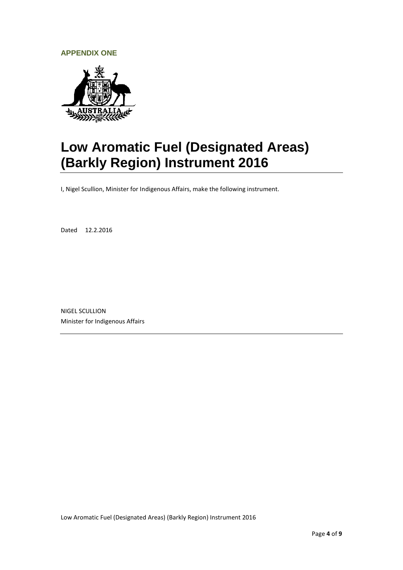## <span id="page-3-0"></span>**APPENDIX ONE**



# **Low Aromatic Fuel (Designated Areas) (Barkly Region) Instrument 2016**

I, Nigel Scullion, Minister for Indigenous Affairs, make the following instrument.

Dated 12.2.2016

NIGEL SCULLION Minister for Indigenous Affairs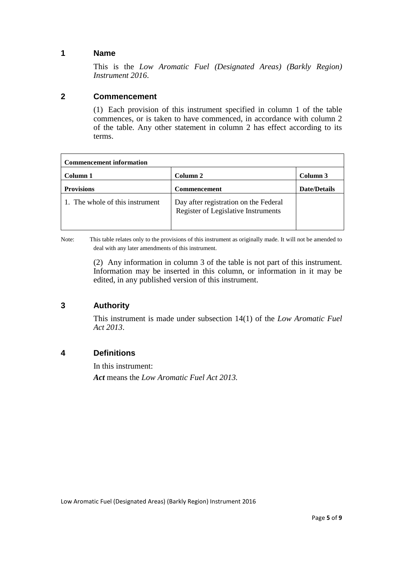# **1 Name**

This is the *Low Aromatic Fuel (Designated Areas) (Barkly Region) Instrument 2016*.

## **2 Commencement**

(1) Each provision of this instrument specified in column 1 of the table commences, or is taken to have commenced, in accordance with column 2 of the table. Any other statement in column 2 has effect according to its terms.

| <b>Commencement information</b> |                                                                              |                     |  |  |  |  |
|---------------------------------|------------------------------------------------------------------------------|---------------------|--|--|--|--|
| Column 1                        | Column 2                                                                     | Column 3            |  |  |  |  |
| <b>Provisions</b>               | <b>Commencement</b>                                                          | <b>Date/Details</b> |  |  |  |  |
| 1. The whole of this instrument | Day after registration on the Federal<br>Register of Legislative Instruments |                     |  |  |  |  |

Note: This table relates only to the provisions of this instrument as originally made. It will not be amended to deal with any later amendments of this instrument.

> (2) Any information in column 3 of the table is not part of this instrument. Information may be inserted in this column, or information in it may be edited, in any published version of this instrument.

# **3 Authority**

This instrument is made under subsection 14(1) of the *Low Aromatic Fuel Act 2013*.

# **4 Definitions**

In this instrument: *Act* means the *Low Aromatic Fuel Act 2013.*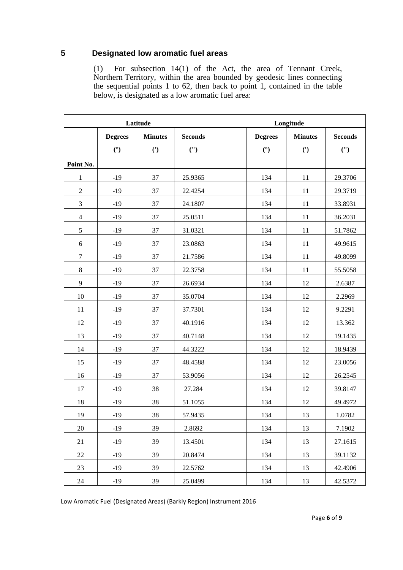# **5 Designated low aromatic fuel areas**

(1) For subsection 14(1) of the Act, the area of Tennant Creek, Northern Territory, within the area bounded by geodesic lines connecting the sequential points 1 to 62, then back to point 1, contained in the table below, is designated as a low aromatic fuel area:

| Latitude       |                |                | Longitude      |  |                |                |                |
|----------------|----------------|----------------|----------------|--|----------------|----------------|----------------|
|                | <b>Degrees</b> | <b>Minutes</b> | <b>Seconds</b> |  | <b>Degrees</b> | <b>Minutes</b> | <b>Seconds</b> |
|                | (°)            | (')            | (")            |  | (°)            | $\mathcal{C}$  | (")            |
| Point No.      |                |                |                |  |                |                |                |
| $\mathbf{1}$   | $-19$          | 37             | 25.9365        |  | 134            | 11             | 29.3706        |
| $\sqrt{2}$     | $-19$          | 37             | 22.4254        |  | 134            | 11             | 29.3719        |
| 3              | $-19$          | 37             | 24.1807        |  | 134            | 11             | 33.8931        |
| $\overline{4}$ | $-19$          | 37             | 25.0511        |  | 134            | 11             | 36.2031        |
| $\sqrt{5}$     | $-19$          | 37             | 31.0321        |  | 134            | 11             | 51.7862        |
| $6\,$          | $-19$          | 37             | 23.0863        |  | 134            | 11             | 49.9615        |
| $\tau$         | $-19$          | 37             | 21.7586        |  | 134            | 11             | 49.8099        |
| $\,8\,$        | $-19$          | 37             | 22.3758        |  | 134            | 11             | 55.5058        |
| 9              | $-19$          | 37             | 26.6934        |  | 134            | 12             | 2.6387         |
| 10             | $-19$          | 37             | 35.0704        |  | 134            | 12             | 2.2969         |
| 11             | $-19$          | 37             | 37.7301        |  | 134            | 12             | 9.2291         |
| 12             | $-19$          | 37             | 40.1916        |  | 134            | 12             | 13.362         |
| 13             | $-19$          | 37             | 40.7148        |  | 134            | 12             | 19.1435        |
| 14             | $-19$          | 37             | 44.3222        |  | 134            | 12             | 18.9439        |
| 15             | $-19$          | 37             | 48.4588        |  | 134            | 12             | 23.0056        |
| 16             | $-19$          | 37             | 53.9056        |  | 134            | 12             | 26.2545        |
| 17             | $-19$          | 38             | 27.284         |  | 134            | 12             | 39.8147        |
| 18             | $-19$          | 38             | 51.1055        |  | 134            | 12             | 49.4972        |
| 19             | $-19$          | 38             | 57.9435        |  | 134            | 13             | 1.0782         |
| 20             | $-19$          | 39             | 2.8692         |  | 134            | 13             | 7.1902         |
| 21             | $-19$          | 39             | 13.4501        |  | 134            | 13             | 27.1615        |
| $22\,$         | $-19$          | 39             | 20.8474        |  | 134            | 13             | 39.1132        |
| 23             | $-19$          | 39             | 22.5762        |  | 134            | 13             | 42.4906        |
| $24\,$         | $-19$          | 39             | 25.0499        |  | 134            | 13             | 42.5372        |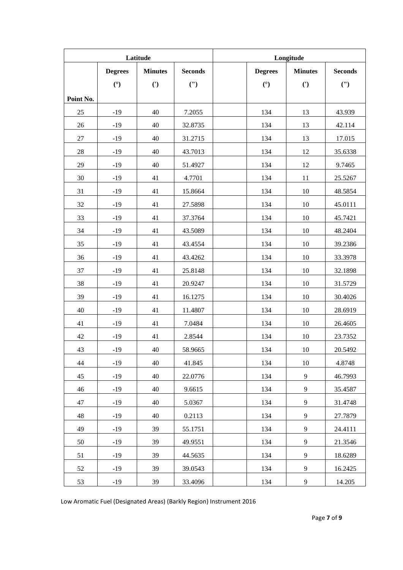| Latitude  |                |                | Longitude      |  |                |                |                |
|-----------|----------------|----------------|----------------|--|----------------|----------------|----------------|
|           | <b>Degrees</b> | <b>Minutes</b> | <b>Seconds</b> |  | <b>Degrees</b> | <b>Minutes</b> | <b>Seconds</b> |
|           | (°)            | $\mathcal{C}$  | (")            |  | (°)            | $\mathcal{C}$  | (")            |
| Point No. |                |                |                |  |                |                |                |
| 25        | $-19$          | 40             | 7.2055         |  | 134            | 13             | 43.939         |
| 26        | $-19$          | 40             | 32.8735        |  | 134            | 13             | 42.114         |
| 27        | $-19$          | 40             | 31.2715        |  | 134            | 13             | 17.015         |
| 28        | $-19$          | 40             | 43.7013        |  | 134            | 12             | 35.6338        |
| 29        | $-19$          | 40             | 51.4927        |  | 134            | 12             | 9.7465         |
| 30        | $-19$          | 41             | 4.7701         |  | 134            | 11             | 25.5267        |
| 31        | $-19$          | 41             | 15.8664        |  | 134            | 10             | 48.5854        |
| 32        | $-19$          | 41             | 27.5898        |  | 134            | 10             | 45.0111        |
| 33        | $-19$          | 41             | 37.3764        |  | 134            | 10             | 45.7421        |
| 34        | $-19$          | 41             | 43.5089        |  | 134            | 10             | 48.2404        |
| 35        | $-19$          | 41             | 43.4554        |  | 134            | 10             | 39.2386        |
| 36        | $-19$          | 41             | 43.4262        |  | 134            | 10             | 33.3978        |
| 37        | $-19$          | 41             | 25.8148        |  | 134            | 10             | 32.1898        |
| 38        | $-19$          | 41             | 20.9247        |  | 134            | 10             | 31.5729        |
| 39        | $-19$          | 41             | 16.1275        |  | 134            | 10             | 30.4026        |
| 40        | $-19$          | 41             | 11.4807        |  | 134            | 10             | 28.6919        |
| 41        | $-19$          | 41             | 7.0484         |  | 134            | 10             | 26.4605        |
| 42        | $-19$          | 41             | 2.8544         |  | 134            | 10             | 23.7352        |
| 43        | $-19$          | 40             | 58.9665        |  | 134            | 10             | 20.5492        |
| 44        | $-19$          | 40             | 41.845         |  | 134            | 10             | 4.8748         |
| 45        | $-19$          | 40             | 22.0776        |  | 134            | 9              | 46.7993        |
| 46        | $-19$          | 40             | 9.6615         |  | 134            | 9              | 35.4587        |
| 47        | $-19$          | 40             | 5.0367         |  | 134            | $\overline{9}$ | 31.4748        |
| 48        | $-19$          | 40             | 0.2113         |  | 134            | 9              | 27.7879        |
| 49        | $-19$          | 39             | 55.1751        |  | 134            | 9              | 24.4111        |
| 50        | $-19$          | 39             | 49.9551        |  | 134            | 9              | 21.3546        |
| 51        | $-19$          | 39             | 44.5635        |  | 134            | 9              | 18.6289        |
| 52        | $-19$          | 39             | 39.0543        |  | 134            | 9              | 16.2425        |
| 53        | $-19$          | 39             | 33.4096        |  | 134            | 9              | 14.205         |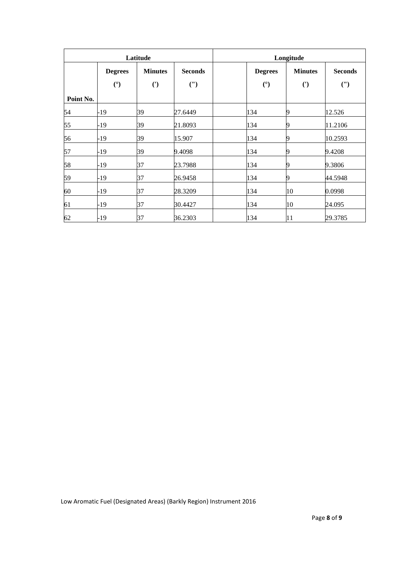| Latitude  |                |                |                | Longitude |                |                |                |
|-----------|----------------|----------------|----------------|-----------|----------------|----------------|----------------|
|           | <b>Degrees</b> | <b>Minutes</b> | <b>Seconds</b> |           | <b>Degrees</b> | <b>Minutes</b> | <b>Seconds</b> |
|           | (°)            | $\mathcal{C}$  | (")            |           | (°)            | $\mathcal{C}$  | (")            |
| Point No. |                |                |                |           |                |                |                |
| 54        | -19            | 39             | 27.6449        |           | 134            | 9              | 12.526         |
| 55        | -19            | 39             | 21.8093        |           | 134            | 9              | 11.2106        |
| 56        | -19            | 39             | 15.907         |           | 134            | 9              | 10.2593        |
| 57        | -19            | 39             | 9.4098         |           | 134            | 9              | 9.4208         |
| 58        | -19            | 37             | 23.7988        |           | 134            | 19             | 9.3806         |
| 59        | -19            | 37             | 26.9458        |           | 134            | 9              | 44.5948        |
| 60        | -19            | 37             | 28.3209        |           | 134            | 10             | 0.0998         |
| 61        | $-19$          | 37             | 30.4427        |           | 134            | 10             | 24.095         |
| 62        | -19            | 37             | 36.2303        |           | 134            | 11             | 29.3785        |